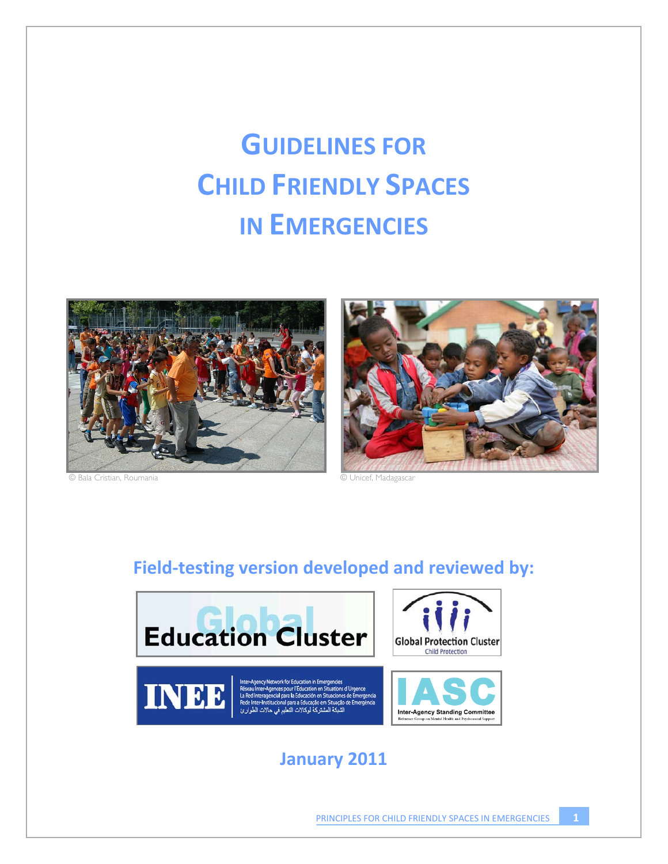# **GUIDELINES FOR CHILD FRIENDLY SPACES IN EMERGENCIES**



© Bala Cristian, Roumania © Unicef, Madagascar



# **Field"testing version developed and reviewed by:**



# **January 2011**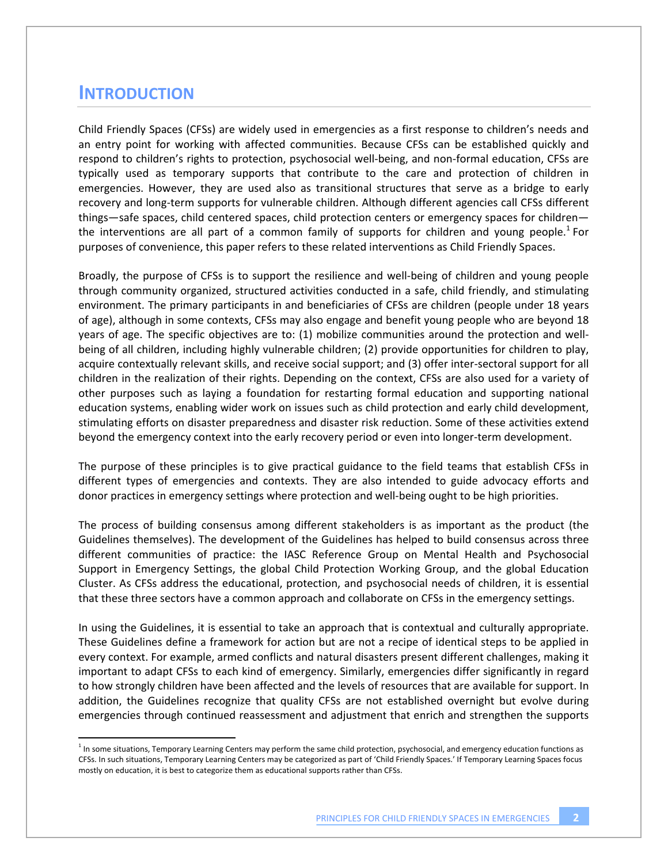## **INTRODUCTION**

!!!!!!!!!!!!!!!!!!!!!!!!!!!!!!!!!!!!!!!!!!!!!!!!!!!!!!!!!!!

Child Friendly Spaces (CFSs) are widely used in emergencies as a first response to children's needs and an entry point for working with affected communities. Because CFSs can be established quickly and respond to children's rights to protection, psychosocial well-being, and non-formal education, CFSs are typically used as temporary supports that contribute to the care and protection of children in emergencies. However, they are used also as transitional structures that serve as a bridge to early recovery and long-term supports for vulnerable children. Although different agencies call CFSs different things—safe spaces, child centered spaces, child protection centers or emergency spaces for children the interventions are all part of a common family of supports for children and young people.<sup>1</sup> For purposes of convenience, this paper refers to these related interventions as Child Friendly Spaces.

Broadly, the purpose of CFSs is to support the resilience and well-being of children and young people through community organized, structured activities conducted in a safe, child friendly, and stimulating environment. The primary participants in and beneficiaries of CFSs are children (people under 18 years of age), although in some contexts, CFSs may also engage and benefit young people who are beyond 18 years of age. The specific objectives are to: (1) mobilize communities around the protection and wellbeing of all children, including highly vulnerable children; (2) provide opportunities for children to play, acquire contextually relevant skills, and receive social support; and (3) offer inter-sectoral support for all children in the realization of their rights. Depending on the context, CFSs are also used for a variety of other purposes such as laying a foundation for restarting formal education and supporting national education systems, enabling wider work on issues such as child protection and early child development, stimulating efforts on disaster preparedness and disaster risk reduction. Some of these activities extend beyond the emergency context into the early recovery period or even into longer-term development.

The purpose of these principles is to give practical guidance to the field teams that establish CFSs in different types of emergencies and contexts. They are also intended to guide advocacy efforts and donor practices in emergency settings where protection and well-being ought to be high priorities.

The process of building consensus among different stakeholders is as important as the product (the Guidelines themselves). The development of the Guidelines has helped to build consensus across three different communities of practice: the IASC Reference Group on Mental Health and Psychosocial Support in Emergency Settings, the global Child Protection Working Group, and the global Education Cluster. As CFSs address the educational, protection, and psychosocial needs of children, it is essential that these three sectors have a common approach and collaborate on CFSs in the emergency settings.

In using the Guidelines, it is essential to take an approach that is contextual and culturally appropriate. These Guidelines define a framework for action but are not a recipe of identical steps to be applied in every context. For example, armed conflicts and natural disasters present different challenges, making it important to adapt CFSs to each kind of emergency. Similarly, emergencies differ significantly in regard to how strongly children have been affected and the levels of resources that are available for support. In addition, the Guidelines recognize that quality CFSs are not established overnight but evolve during emergencies through continued reassessment and adjustment that enrich and strengthen the supports

 $<sup>1</sup>$  In some situations, Temporary Learning Centers may perform the same child protection, psychosocial, and emergency education functions as</sup> CFSs. In such situations, Temporary Learning Centers may be categorized as part of 'Child Friendly Spaces.' If Temporary Learning Spaces focus mostly on education, it is best to categorize them as educational supports rather than CFSs.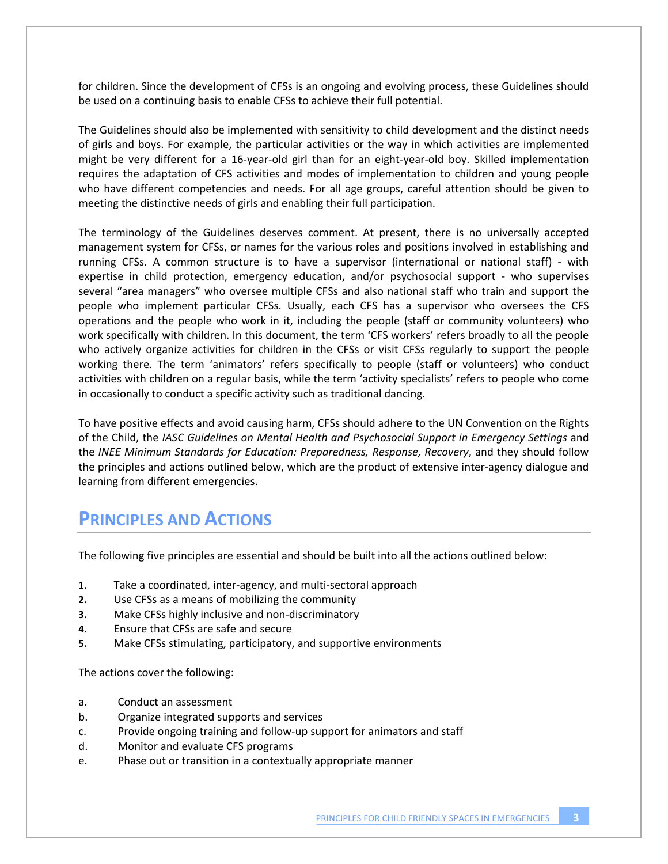for children. Since the development of CFSs is an ongoing and evolving process, these Guidelines should be used on a continuing basis to enable CFSs to achieve their full potential.

The Guidelines should also be implemented with sensitivity to child development and the distinct needs of girls and boys. For example, the particular activities or the way in which activities are implemented might be very different for a 16-year-old girl than for an eight-year-old boy. Skilled implementation requires the adaptation of CFS activities and modes of implementation to children and young people who have different competencies and needs. For all age groups, careful attention should be given to meeting the distinctive needs of girls and enabling their full participation.

The terminology of the Guidelines deserves comment. At present, there is no universally accepted management system for CFSs, or names for the various roles and positions involved in establishing and running CFSs. A common structure is to have a supervisor (international or national staff) - with expertise in child protection, emergency education, and/or psychosocial support - who supervises several "area managers" who oversee multiple CFSs and also national staff who train and support the people who implement particular CFSs. Usually, each CFS has a supervisor who oversees the CFS operations and the people who work in it, including the people (staff or community volunteers) who work specifically with children. In this document, the term 'CFS workers' refers broadly to all the people who actively organize activities for children in the CFSs or visit CFSs regularly to support the people working there. The term 'animators' refers specifically to people (staff or volunteers) who conduct activities with children on a regular basis, while the term 'activity specialists' refers to people who come in occasionally to conduct a specific activity such as traditional dancing.

To have positive effects and avoid causing harm, CFSs should adhere to the UN Convention on the Rights of the Child, the *IASC Guidelines on Mental Health and Psychosocial Support in Emergency Settings* and the *INEE Minimum Standards for Education: Preparedness, Response, Recovery*, and they should follow the principles and actions outlined below, which are the product of extensive inter-agency dialogue and learning from different emergencies.

## **PRINCIPLES AND ACTIONS**

The following five principles are essential and should be built into all the actions outlined below:

- **1.** Take a coordinated, inter-agency, and multi-sectoral approach
- **2.** Use CFSs as a means of mobilizing the community
- **3.** Make CFSs highly inclusive and non-discriminatory
- **4.** Ensure that CFSs are safe and secure
- **5.** Make CFSs stimulating, participatory, and supportive environments

The actions cover the following:

- a. Conduct an assessment
- b. Organize integrated supports and services
- c. Provide ongoing training and follow-up support for animators and staff
- d. Monitor and evaluate CFS programs
- e. Phase out or transition in a contextually appropriate manner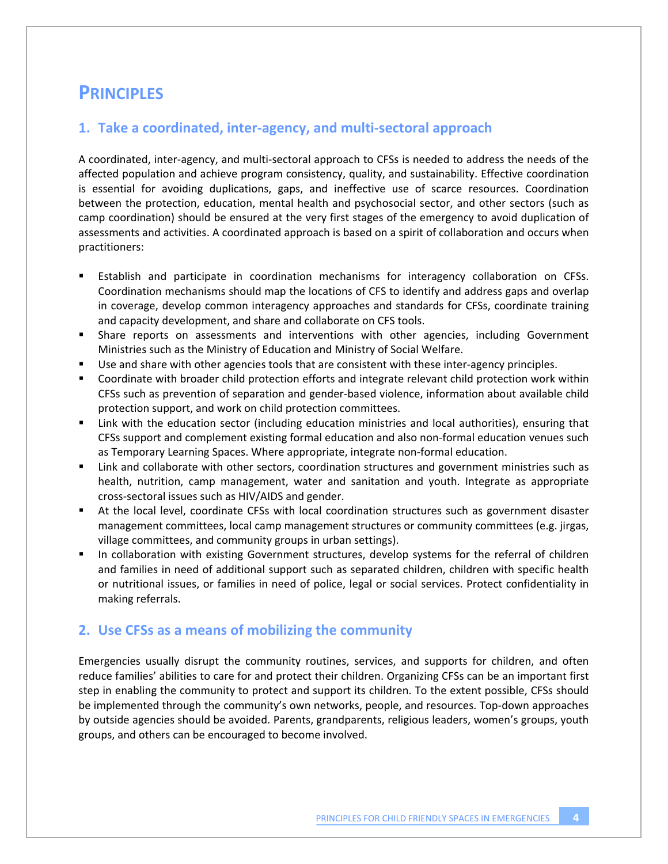## **PRINCIPLES**

#### 1. Take a coordinated, inter-agency, and multi-sectoral approach

A coordinated, inter-agency, and multi-sectoral approach to CFSs is needed to address the needs of the affected population and achieve program consistency, quality, and sustainability. Effective coordination is essential for avoiding duplications, gaps, and ineffective use of scarce resources. Coordination between the protection, education, mental health and psychosocial sector, and other sectors (such as camp coordination) should be ensured at the very first stages of the emergency to avoid duplication of assessments and activities. A coordinated approach is based on a spirit of collaboration and occurs when practitioners:

- Establish and participate in coordination mechanisms for interagency collaboration on CFSs. Coordination mechanisms should map the locations of CFS to identify and address gaps and overlap in coverage, develop common interagency approaches and standards for CFSs, coordinate training and capacity development, and share and collaborate on CFS tools.
- ! Share reports on assessments and interventions with other agencies, including Government Ministries such as the Ministry of Education and Ministry of Social Welfare.
- Use and share with other agencies tools that are consistent with these inter-agency principles.
- ! Coordinate with broader child protection efforts and integrate relevant child protection work within CFSs such as prevention of separation and gender-based violence, information about available child protection support, and work on child protection committees.
- ! Link with the education sector (including education ministries and local authorities), ensuring that CFSs support and complement existing formal education and also non-formal education venues such as Temporary Learning Spaces. Where appropriate, integrate non-formal education.
- ! Link and collaborate with other sectors, coordination structures and government ministries such as health, nutrition, camp management, water and sanitation and youth. Integrate as appropriate cross"sectoral issues such as HIV/AIDS and gender.
- ! At the local level, coordinate CFSs with local coordination structures such as government disaster management committees, local camp management structures or community committees (e.g. jirgas, village committees, and community groups in urban settings).
- In collaboration with existing Government structures, develop systems for the referral of children and families in need of additional support such as separated children, children with specific health or nutritional issues, or families in need of police, legal or social services. Protect confidentiality in making referrals.

#### **2.!!Use CFSs as a means of mobilizing the community!!**

Emergencies usually disrupt the community routines, services, and supports for children, and often reduce families' abilities to care for and protect their children. Organizing CFSs can be an important first step in enabling the community to protect and support its children. To the extent possible, CFSs should be implemented through the community's own networks, people, and resources. Top-down approaches by outside agencies should be avoided. Parents, grandparents, religious leaders, women's groups, youth groups, and others can be encouraged to become involved.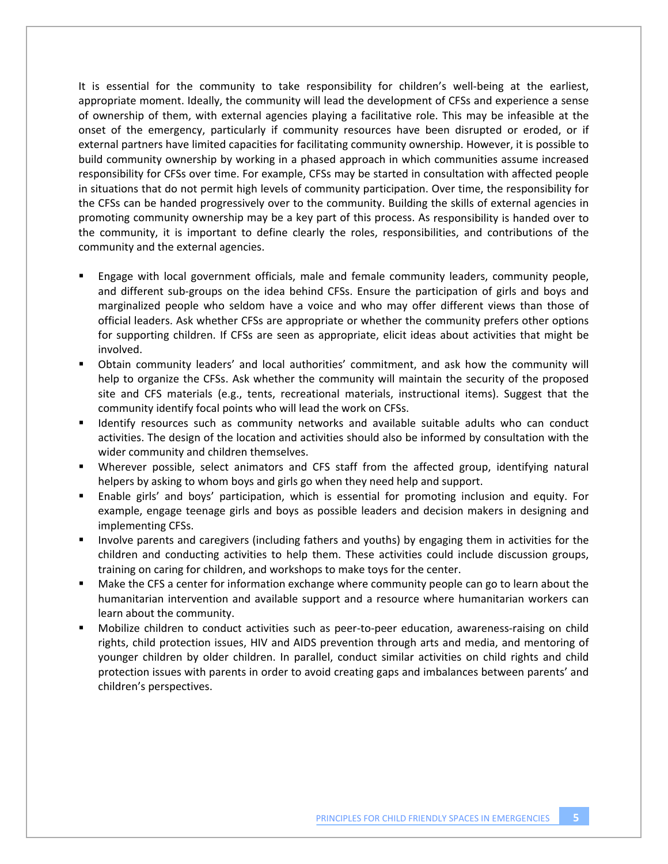It is essential for the community to take responsibility for children's well-being at the earliest, appropriate moment. Ideally, the community will lead the development of CFSs and experience a sense of ownership of them, with external agencies playing a facilitative role. This may be infeasible at the onset of the emergency, particularly if community resources have been disrupted or eroded, or if external partners have limited capacities for facilitating community ownership. However, it is possible to build community ownership by working in a phased approach in which communities assume increased responsibility for CFSs over time. For example, CFSs may be started in consultation with affected people in situations that do not permit high levels of community participation. Over time, the responsibility for the CFSs can be handed progressively over to the community. Building the skills of external agencies in promoting community ownership may be a key part of this process. As responsibility is handed over to the community, it is important to define clearly the roles, responsibilities, and contributions of the community and the external agencies.

- ! Engage with local government officials, male and female community leaders, community people, and different sub-groups on the idea behind CFSs. Ensure the participation of girls and boys and marginalized people who seldom have a voice and who may offer different views than those of official leaders. Ask whether CFSs are appropriate or whether the community prefers other options for supporting children. If CFSs are seen as appropriate, elicit ideas about activities that might be involved.
- ! Obtain community leaders' and local authorities' commitment, and ask how the community will help to organize the CFSs. Ask whether the community will maintain the security of the proposed site and CFS materials (e.g., tents, recreational materials, instructional items). Suggest that the community identify focal points who will lead the work on CFSs.
- ! Identify resources such as community networks and available suitable adults who can conduct activities. The design of the location and activities should also be informed by consultation with the wider community and children themselves.
- ! Wherever possible, select animators and CFS staff from the affected group, identifying natural helpers by asking to whom boys and girls go when they need help and support.
- ! Enable girls' and boys' participation, which is essential for promoting inclusion and equity. For example, engage teenage girls and boys as possible leaders and decision makers in designing and implementing CFSs.
- ! Involve parents and caregivers (including fathers and youths) by engaging them in activities for the children and conducting activities to help them. These activities could include discussion groups, training on caring for children, and workshops to make toys for the center.
- ! Make the CFS a center for information exchange where community people can go to learn about the humanitarian intervention and available support and a resource where humanitarian workers can learn about the community.
- Mobilize children to conduct activities such as peer-to-peer education, awareness-raising on child rights, child protection issues, HIV and AIDS prevention through arts and media, and mentoring of younger children by older children. In parallel, conduct similar activities on child rights and child protection issues with parents in order to avoid creating gaps and imbalances between parents' and children's perspectives.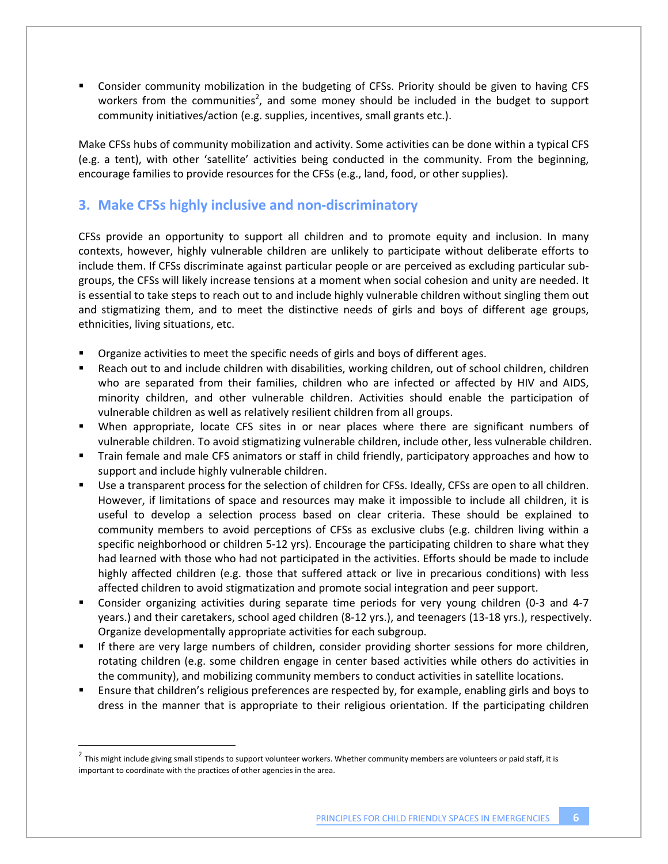! Consider community mobilization in the budgeting of CFSs. Priority should be given to having CFS workers from the communities<sup>2</sup>, and some money should be included in the budget to support community initiatives/action (e.g. supplies, incentives, small grants etc.).

Make CFSs hubs of community mobilization and activity. Some activities can be done within a typical CFS (e.g. a tent), with other 'satellite' activities being conducted in the community. From the beginning, encourage families to provide resources for the CFSs (e.g., land, food, or other supplies).

## **3.!!Make CFSs highly inclusive and non"discriminatory**

CFSs provide an opportunity to support all children and to promote equity and inclusion. In many contexts, however, highly vulnerable children are unlikely to participate without deliberate efforts to include them. If CFSs discriminate against particular people or are perceived as excluding particular subgroups, the CFSs will likely increase tensions at a moment when social cohesion and unity are needed. It is essential to take steps to reach out to and include highly vulnerable children without singling them out and stigmatizing them, and to meet the distinctive needs of girls and boys of different age groups, ethnicities, living situations, etc.

- ! Organize activities to meet the specific needs of girls and boys of different ages.
- ! Reach out to and include children with disabilities, working children, out of school children, children who are separated from their families, children who are infected or affected by HIV and AIDS, minority children, and other vulnerable children. Activities should enable the participation of vulnerable children as well as relatively resilient children from all groups.
- When appropriate, locate CFS sites in or near places where there are significant numbers of vulnerable children. To avoid stigmatizing vulnerable children, include other, less vulnerable children.
- ! Train female and male CFS animators or staff in child friendly, participatory approaches and how to support and include highly vulnerable children.
- Use a transparent process for the selection of children for CFSs. Ideally, CFSs are open to all children. However, if limitations of space and resources may make it impossible to include all children, it is useful to develop a selection process based on clear criteria. These should be explained to community members to avoid perceptions of CFSs as exclusive clubs (e.g. children living within a specific neighborhood or children 5-12 yrs). Encourage the participating children to share what they had learned with those who had not participated in the activities. Efforts should be made to include highly affected children (e.g. those that suffered attack or live in precarious conditions) with less affected children to avoid stigmatization and promote social integration and peer support.
- " Consider organizing activities during separate time periods for very young children (0-3 and 4-7 years.) and their caretakers, school aged children (8-12 yrs.), and teenagers (13-18 yrs.), respectively. Organize developmentally appropriate activities for each subgroup.
- ! If there are very large numbers of children, consider providing shorter sessions for more children, rotating children (e.g. some children engage in center based activities while others do activities in the community), and mobilizing community members to conduct activities in satellite locations.!!
- ! Ensure that children's religious preferences are respected by, for example, enabling girls and boys to dress in the manner that is appropriate to their religious orientation. If the participating children

!!!!!!!!!!!!!!!!!!!!!!!!!!!!!!!!!!!!!!!!!!!!!!!!!!!!!!!!!!!

 $2$  This might include giving small stipends to support volunteer workers. Whether community members are volunteers or paid staff, it is important to coordinate with the practices of other agencies in the area.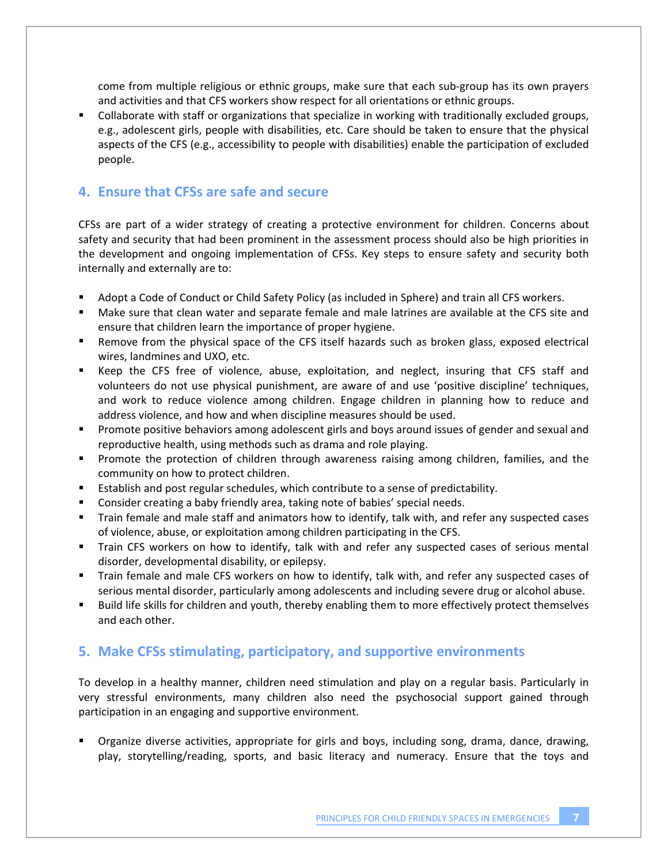come from multiple religious or ethnic groups, make sure that each sub-group has its own prayers and activities and that CFS workers show respect for all orientations or ethnic groups.

! Collaborate with staff or organizations that specialize in working with traditionally excluded groups, e.g., adolescent girls, people with disabilities, etc. Care should be taken to ensure that the physical aspects of the CFS (e.g., accessibility to people with disabilities) enable the participation of excluded people.

#### **4.!!Ensure that CFSs are safe and secure**

CFSs are part of a wider strategy of creating a protective environment for children. Concerns about safety and security that had been prominent in the assessment process should also be high priorities in the development and ongoing implementation of CFSs. Key steps to ensure safety and security both internally and externally are to:

- ! Adopt a Code of Conduct or Child Safety Policy (as included in Sphere) and train all CFS workers.
- ! Make sure that clean water and separate female and male latrines are available at the CFS site and ensure that children learn the importance of proper hygiene.
- ! Remove from the physical space of the CFS itself hazards such as broken glass, exposed electrical wires, landmines and UXO, etc.
- ! Keep the CFS free of violence, abuse, exploitation, and neglect, insuring that CFS staff and volunteers do not use physical punishment, are aware of and use 'positive discipline' techniques, and work to reduce violence among children. Engage children in planning how to reduce and address violence, and how and when discipline measures should be used.
- ! Promote positive behaviors among adolescent girls and boys around issues of gender and sexual and reproductive health, using methods such as drama and role playing.
- ! Promote the protection of children through awareness raising among children, families, and the community on how to protect children.
- **Establish and post regular schedules, which contribute to a sense of predictability.**
- **EXEDER 10** Consider creating a baby friendly area, taking note of babies' special needs.
- ! Train female and male staff and animators how to identify, talk with, and refer any suspected cases of violence, abuse, or exploitation among children participating in the CFS.
- ! Train CFS workers on how to identify, talk with and refer any suspected cases of serious mental disorder, developmental disability, or epilepsy.
- ! Train female and male CFS workers on how to identify, talk with, and refer any suspected cases of serious mental disorder, particularly among adolescents and including severe drug or alcohol abuse.
- " Build life skills for children and youth, thereby enabling them to more effectively protect themselves and each other.

#### **5.!!Make CFSs stimulating, participatory, and supportive environments**

To develop in a healthy manner, children need stimulation and play on a regular basis. Particularly in very stressful environments, many children also need the psychosocial support gained through participation in an engaging and supportive environment.

! Organize diverse activities, appropriate for girls and boys, including song, drama, dance, drawing, play, storytelling/reading, sports, and basic literacy and numeracy. Ensure that the toys and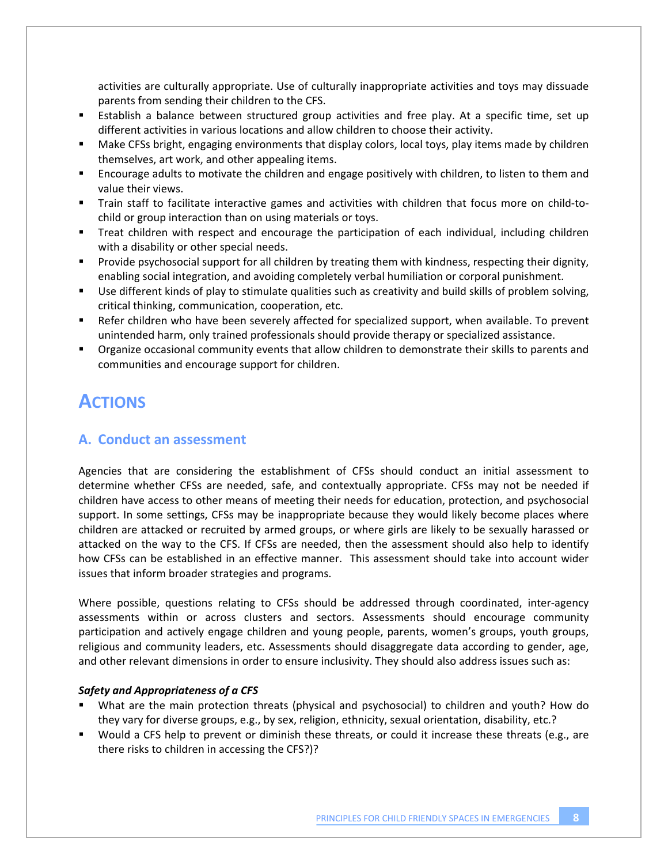activities are culturally appropriate. Use of culturally inappropriate activities and toys may dissuade parents from sending their children to the CFS.

- ! Establish a balance between structured group activities and free play. At a specific time, set up different activities in various locations and allow children to choose their activity.
- ! Make CFSs bright, engaging environments that display colors, local toys, play items made by children themselves, art work, and other appealing items.
- ! Encourage adults to motivate the children and engage positively with children, to listen to them and value their views.
- " Train staff to facilitate interactive games and activities with children that focus more on child-tochild or group interaction than on using materials or toys.
- " Treat children with respect and encourage the participation of each individual, including children with a disability or other special needs.
- ! Provide psychosocial support for all children by treating them with kindness, respecting their dignity, enabling social integration, and avoiding completely verbal humiliation or corporal punishment.
- " Use different kinds of play to stimulate qualities such as creativity and build skills of problem solving, critical thinking, communication, cooperation, etc.
- ! Refer children who have been severely affected for specialized support, when available. To prevent unintended harm, only trained professionals should provide therapy or specialized assistance.
- ! Organize occasional community events that allow children to demonstrate their skills to parents and communities and encourage support for children.

# **ACTIONS**

### **A.!!Conduct an assessment**

Agencies that are considering the establishment of CFSs should conduct an initial assessment to determine whether CFSs are needed, safe, and contextually appropriate. CFSs may not be needed if children have access to other means of meeting their needs for education, protection, and psychosocial support. In some settings, CFSs may be inappropriate because they would likely become places where children are attacked or recruited by armed groups, or where girls are likely to be sexually harassed or attacked on the way to the CFS. If CFSs are needed, then the assessment should also help to identify how CFSs can be established in an effective manner. This assessment should take into account wider issues that inform broader strategies and programs.

Where possible, questions relating to CFSs should be addressed through coordinated, inter-agency assessments within or across clusters and sectors. Assessments should encourage community participation and actively engage children and young people, parents, women's groups, youth groups, religious and community leaders, etc. Assessments should disaggregate data according to gender, age, and other relevant dimensions in order to ensure inclusivity. They should also address issues such as:

#### *Safety and Appropriateness of a CFS*

- ! What are the main protection threats (physical and psychosocial) to children and youth? How do they vary for diverse groups, e.g., by sex, religion, ethnicity, sexual orientation, disability, etc.?
- ! Would a CFS help to prevent or diminish these threats, or could it increase these threats (e.g., are there risks to children in accessing the CFS?)?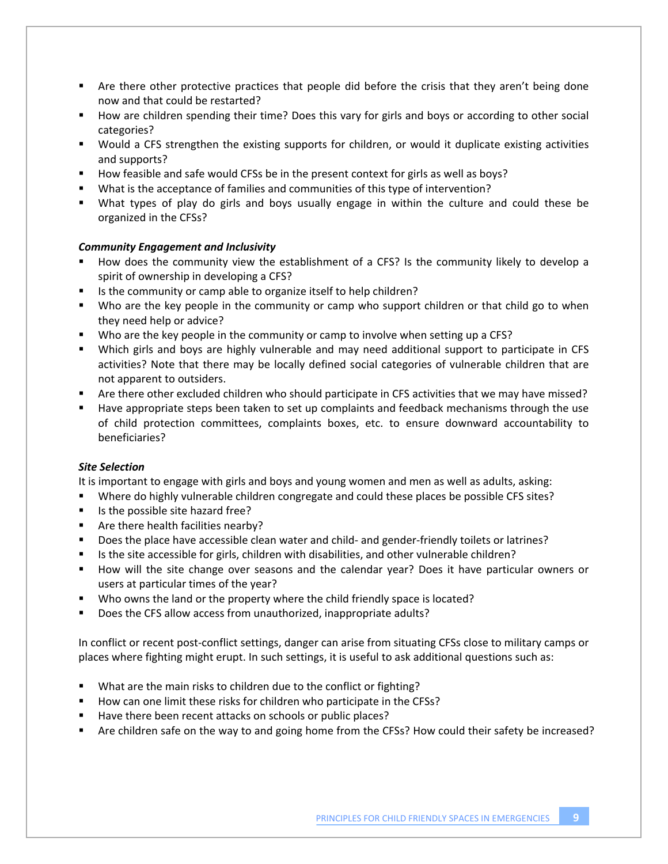- ! Are there other protective practices that people did before the crisis that they aren't being done now and that could be restarted?
- ! How are children spending their time? Does this vary for girls and boys or according to other social categories?
- ! Would a CFS strengthen the existing supports for children, or would it duplicate existing activities and supports?
- ! How feasible and safe would CFSs be in the present context for girls as well as boys?!!
- ! What is the acceptance of families and communities of this type of intervention?
- ! What types of play do girls and boys usually engage in within the culture and could these be organized in the CFSs?

#### *Community Engagement and Inclusivity*

- ! How does the community view the establishment of a CFS? Is the community likely to develop a spirit of ownership in developing a CFS?
- ! Is the community or camp able to organize itself to help children?
- ! Who are the key people in the community or camp who support children or that child go to when they need help or advice?
- Who are the key people in the community or camp to involve when setting up a CFS?
- ! Which girls and boys are highly vulnerable and may need additional support to participate in CFS activities? Note that there may be locally defined social categories of vulnerable children that are not apparent to outsiders.
- ! Are there other excluded children who should participate in CFS activities that we may have missed?!!
- ! Have appropriate steps been taken to set up complaints and feedback mechanisms through the use of child protection committees, complaints boxes, etc. to ensure downward accountability to beneficiaries?

#### *Site Selection*

It is important to engage with girls and boys and young women and men as well as adults, asking:

- ! Where do highly vulnerable children congregate and could these places be possible CFS sites?
- ! Is the possible site hazard free?
- ! Are there health facilities nearby?
- " Does the place have accessible clean water and child- and gender-friendly toilets or latrines?
- ! Is the site accessible for girls, children with disabilities, and other vulnerable children?
- ! How will the site change over seasons and the calendar year? Does it have particular owners or users at particular times of the year?
- Who owns the land or the property where the child friendly space is located?
- ! Does the CFS allow access from unauthorized, inappropriate adults?

In conflict or recent post-conflict settings, danger can arise from situating CFSs close to military camps or places where fighting might erupt. In such settings, it is useful to ask additional questions such as:

- ! What are the main risks to children due to the conflict or fighting?
- ! How can one limit these risks for children who participate in the CFSs?
- ! Have there been recent attacks on schools or public places?
- ! Are children safe on the way to and going home from the CFSs? How could their safety be increased?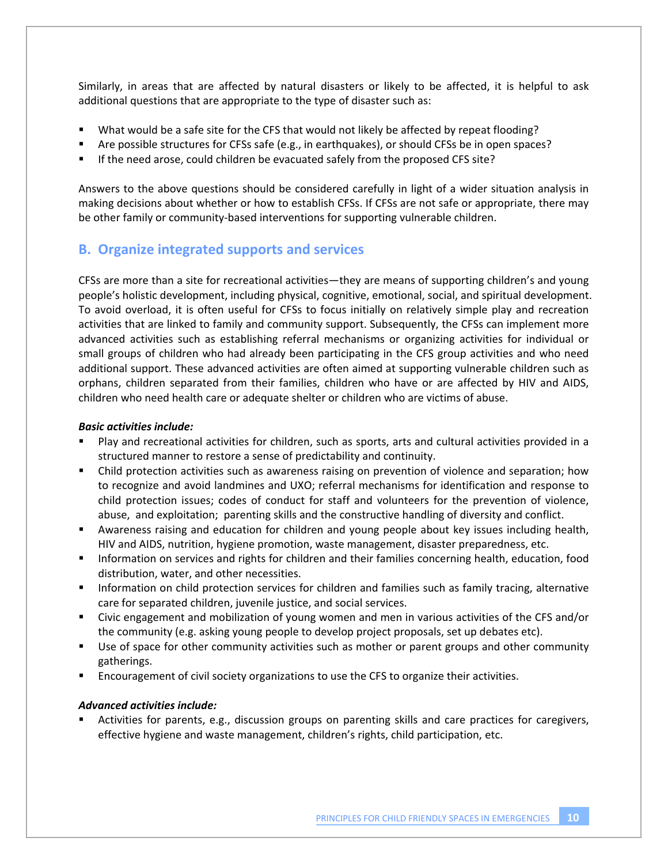Similarly, in areas that are affected by natural disasters or likely to be affected, it is helpful to ask additional questions that are appropriate to the type of disaster such as:

- ! What would be a safe site for the CFS that would not likely be affected by repeat flooding?
- ! Are possible structures for CFSs safe (e.g., in earthquakes), or should CFSs be in open spaces?
- ! If the need arose, could children be evacuated safely from the proposed CFS site?

Answers to the above questions should be considered carefully in light of a wider situation analysis in making decisions about whether or how to establish CFSs. If CFSs are not safe or appropriate, there may be other family or community-based interventions for supporting vulnerable children.

#### **B.!!Organize integrated supports and services**

CFSs are more than a site for recreational activities—they are means of supporting children's and young people's holistic development, including physical, cognitive, emotional, social, and spiritual development. To avoid overload, it is often useful for CFSs to focus initially on relatively simple play and recreation activities that are linked to family and community support. Subsequently, the CFSs can implement more advanced activities such as establishing referral mechanisms or organizing activities for individual or small groups of children who had already been participating in the CFS group activities and who need additional support. These advanced activities are often aimed at supporting vulnerable children such as orphans, children separated from their families, children who have or are affected by HIV and AIDS, children who need health care or adequate shelter or children who are victims of abuse.

#### *Basic activities include:*

- ! Play and recreational activities for children, such as sports, arts and cultural activities provided in a structured manner to restore a sense of predictability and continuity.
- ! Child protection activities such as awareness raising on prevention of violence and separation; how to recognize and avoid landmines and UXO; referral mechanisms for identification and response to child protection issues; codes of conduct for staff and volunteers for the prevention of violence, abuse, and exploitation; parenting skills and the constructive handling of diversity and conflict.
- ! Awareness raising and education for children and young people about key issues including health, HIV and AIDS, nutrition, hygiene promotion, waste management, disaster preparedness, etc.
- ! Information on services and rights for children and their families concerning health, education, food distribution, water, and other necessities.
- ! Information on child protection services for children and families such as family tracing, alternative care for separated children, juvenile justice, and social services.
- ! Civic engagement and mobilization of young women and men in various activities of the CFS and/or the community (e.g. asking young people to develop project proposals, set up debates etc).
- " Use of space for other community activities such as mother or parent groups and other community gatherings.
- ! Encouragement of civil society organizations to use the CFS to organize their activities.

#### *Advanced activities include:*

Activities for parents, e.g., discussion groups on parenting skills and care practices for caregivers, effective hygiene and waste management, children's rights, child participation, etc.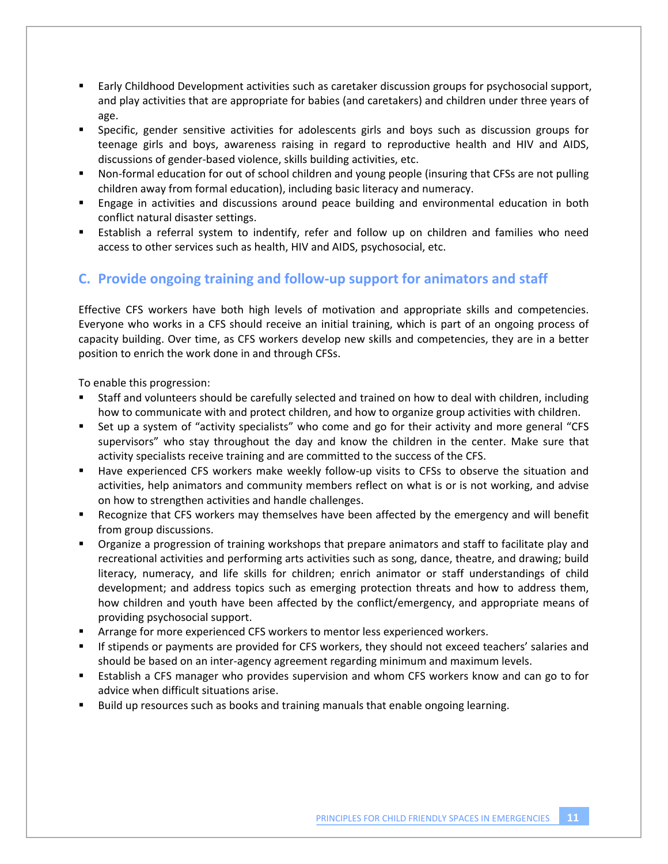- ! Early Childhood Development activities such as caretaker discussion groups for psychosocial support, and play activities that are appropriate for babies (and caretakers) and children under three years of age.
- ! Specific, gender sensitive activities for adolescents girls and boys such as discussion groups for teenage girls and boys, awareness raising in regard to reproductive health and HIV and AIDS, discussions of gender-based violence, skills building activities, etc.
- " Non-formal education for out of school children and young people (insuring that CFSs are not pulling children away from formal education), including basic literacy and numeracy.
- ! Engage in activities and discussions around peace building and environmental education in both conflict natural disaster settings.
- ! Establish a referral system to indentify, refer and follow up on children and families who need access to other services such as health, HIV and AIDS, psychosocial, etc.

## **C.!!Provide ongoing training and follow"up support for animators and staff**

Effective CFS workers have both high levels of motivation and appropriate skills and competencies. Everyone who works in a CFS should receive an initial training, which is part of an ongoing process of capacity building. Over time, as CFS workers develop new skills and competencies, they are in a better position to enrich the work done in and through CFSs.

To enable this progression:

- ! Staff and volunteers should be carefully selected and trained on how to deal with children, including how to communicate with and protect children, and how to organize group activities with children.
- Set up a system of "activity specialists" who come and go for their activity and more general "CFS" supervisors" who stay throughout the day and know the children in the center. Make sure that activity specialists receive training and are committed to the success of the CFS.
- Have experienced CFS workers make weekly follow-up visits to CFSs to observe the situation and activities, help animators and community members reflect on what is or is not working, and advise on how to strengthen activities and handle challenges.
- ! Recognize that CFS workers may themselves have been affected by the emergency and will benefit from group discussions.
- ! Organize a progression of training workshops that prepare animators and staff to facilitate play and recreational activities and performing arts activities such as song, dance, theatre, and drawing; build literacy, numeracy, and life skills for children; enrich animator or staff understandings of child development; and address topics such as emerging protection threats and how to address them, how children and youth have been affected by the conflict/emergency, and appropriate means of providing psychosocial support.
- ! Arrange for more experienced CFS workers to mentor less experienced workers.
- ! If stipends or payments are provided for CFS workers, they should not exceed teachers' salaries and should be based on an inter-agency agreement regarding minimum and maximum levels.
- ! Establish a CFS manager who provides supervision and whom CFS workers know and can go to for advice when difficult situations arise.
- ! Build up resources such as books and training manuals that enable ongoing learning.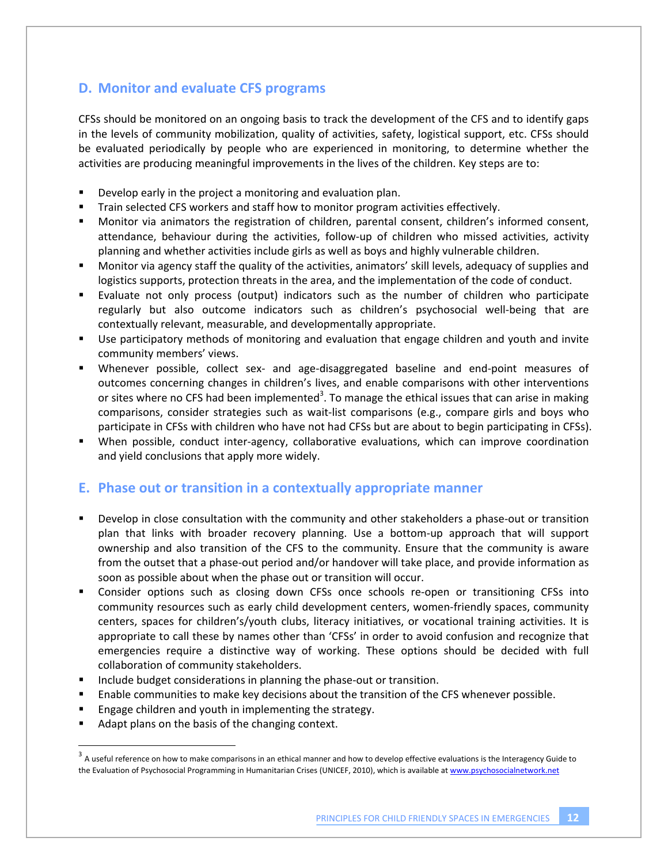### **D. Monitor and evaluate CFS programs**

CFSs should be monitored on an ongoing basis to track the development of the CFS and to identify gaps in the levels of community mobilization, quality of activities, safety, logistical support, etc. CFSs should be evaluated periodically by people who are experienced in monitoring, to determine whether the activities are producing meaningful improvements in the lives of the children. Key steps are to:

- ! Develop early in the project a monitoring and evaluation plan.
- ! Train selected CFS workers and staff how to monitor program activities effectively.
- ! Monitor via animators the registration of children, parental consent, children's informed consent, attendance, behaviour during the activities, follow-up of children who missed activities, activity planning and whether activities include girls as well as boys and highly vulnerable children.
- ! Monitor via agency staff the quality of the activities, animators' skill levels, adequacy of supplies and logistics supports, protection threats in the area, and the implementation of the code of conduct.
- ! Evaluate not only process (output) indicators such as the number of children who participate regularly but also outcome indicators such as children's psychosocial well-being that are contextually relevant, measurable, and developmentally appropriate.
- ! Use participatory methods of monitoring and evaluation that engage children and youth and invite community members' views.
- " Whenever possible, collect sex- and age-disaggregated baseline and end-point measures of outcomes concerning changes in children's lives, and enable comparisons with other interventions or sites where no CFS had been implemented<sup>3</sup>. To manage the ethical issues that can arise in making comparisons, consider strategies such as wait-list comparisons (e.g., compare girls and boys who participate in CFSs with children who have not had CFSs but are about to begin participating in CFSs).
- " When possible, conduct inter-agency, collaborative evaluations, which can improve coordination and yield conclusions that apply more widely.

#### **E.!!Phase out or transition in a contextually appropriate manner!!**

- Develop in close consultation with the community and other stakeholders a phase-out or transition plan that links with broader recovery planning. Use a bottom-up approach that will support ownership and also transition of the CFS to the community. Ensure that the community is aware from the outset that a phase-out period and/or handover will take place, and provide information as soon as possible about when the phase out or transition will occur.
- Consider options such as closing down CFSs once schools re-open or transitioning CFSs into community resources such as early child development centers, women-friendly spaces, community centers, spaces for children's/youth clubs, literacy initiatives, or vocational training activities. It is appropriate to call these by names other than 'CFSs' in order to avoid confusion and recognize that emergencies require a distinctive way of working. These options should be decided with full collaboration of community stakeholders.
- Include budget considerations in planning the phase-out or transition.
- ! Enable communities to make key decisions about the transition of the CFS whenever possible.
- ! Engage children and youth in implementing the strategy.
- Adapt plans on the basis of the changing context.

!!!!!!!!!!!!!!!!!!!!!!!!!!!!!!!!!!!!!!!!!!!!!!!!!!!!!!!!!!!

 $3$  A useful reference on how to make comparisons in an ethical manner and how to develop effective evaluations is the Interagency Guide to the Evaluation of Psychosocial Programming in Humanitarian Crises (UNICEF, 2010), which is available at www.psychosocialnetwork.net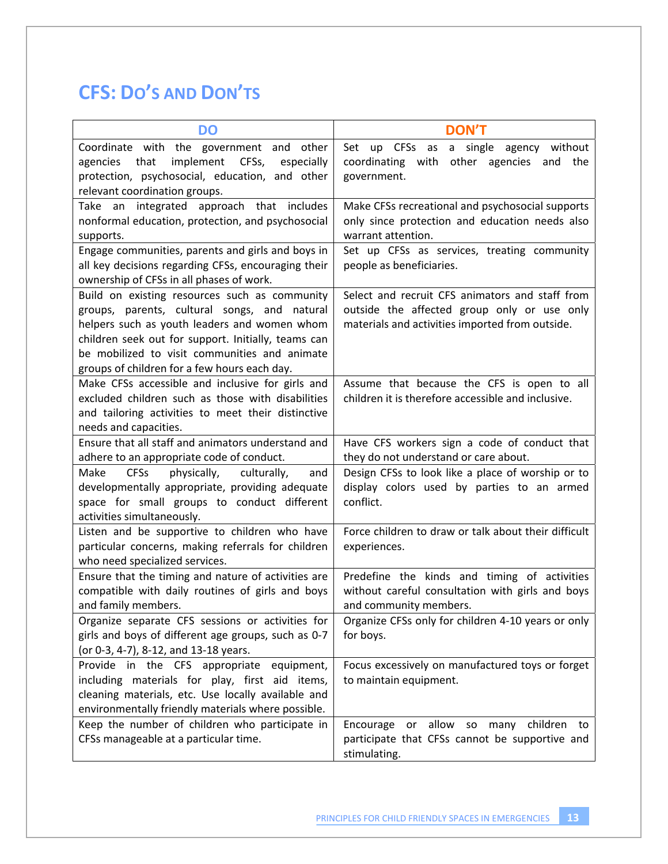# **CFS: DO'S AND DON'TS**

| <b>DO</b>                                                                                                                                                                                                                                                                                             | <b>DON'T</b>                                                                                                                                      |
|-------------------------------------------------------------------------------------------------------------------------------------------------------------------------------------------------------------------------------------------------------------------------------------------------------|---------------------------------------------------------------------------------------------------------------------------------------------------|
| Coordinate with the government and other<br>implement<br>that<br>CFSs,<br>agencies<br>especially<br>protection, psychosocial, education, and other<br>relevant coordination groups.                                                                                                                   | CFSs as<br>a single<br>agency without<br>Set up<br>other agencies and the<br>coordinating with<br>government.                                     |
| Take an integrated approach that includes<br>nonformal education, protection, and psychosocial<br>supports.                                                                                                                                                                                           | Make CFSs recreational and psychosocial supports<br>only since protection and education needs also<br>warrant attention.                          |
| Engage communities, parents and girls and boys in<br>all key decisions regarding CFSs, encouraging their<br>ownership of CFSs in all phases of work.                                                                                                                                                  | Set up CFSs as services, treating community<br>people as beneficiaries.                                                                           |
| Build on existing resources such as community<br>groups, parents, cultural songs, and natural<br>helpers such as youth leaders and women whom<br>children seek out for support. Initially, teams can<br>be mobilized to visit communities and animate<br>groups of children for a few hours each day. | Select and recruit CFS animators and staff from<br>outside the affected group only or use only<br>materials and activities imported from outside. |
| Make CFSs accessible and inclusive for girls and<br>excluded children such as those with disabilities<br>and tailoring activities to meet their distinctive<br>needs and capacities.                                                                                                                  | Assume that because the CFS is open to all<br>children it is therefore accessible and inclusive.                                                  |
| Ensure that all staff and animators understand and<br>adhere to an appropriate code of conduct.                                                                                                                                                                                                       | Have CFS workers sign a code of conduct that<br>they do not understand or care about.                                                             |
| <b>CFSs</b><br>Make<br>physically,<br>culturally,<br>and<br>developmentally appropriate, providing adequate<br>space for small groups to conduct different<br>activities simultaneously.                                                                                                              | Design CFSs to look like a place of worship or to<br>display colors used by parties to an armed<br>conflict.                                      |
| Listen and be supportive to children who have<br>particular concerns, making referrals for children<br>who need specialized services.                                                                                                                                                                 | Force children to draw or talk about their difficult<br>experiences.                                                                              |
| Ensure that the timing and nature of activities are<br>compatible with daily routines of girls and boys<br>and family members.                                                                                                                                                                        | Predefine the kinds and timing of activities<br>without careful consultation with girls and boys<br>and community members.                        |
| Organize separate CFS sessions or activities for<br>girls and boys of different age groups, such as 0-7<br>(or 0-3, 4-7), 8-12, and 13-18 years.                                                                                                                                                      | Organize CFSs only for children 4-10 years or only<br>for boys.                                                                                   |
| Provide in the CFS appropriate equipment,<br>including materials for play, first aid items,<br>cleaning materials, etc. Use locally available and<br>environmentally friendly materials where possible.                                                                                               | Focus excessively on manufactured toys or forget<br>to maintain equipment.                                                                        |
| Keep the number of children who participate in<br>CFSs manageable at a particular time.                                                                                                                                                                                                               | Encourage or allow so many children to<br>participate that CFSs cannot be supportive and<br>stimulating.                                          |